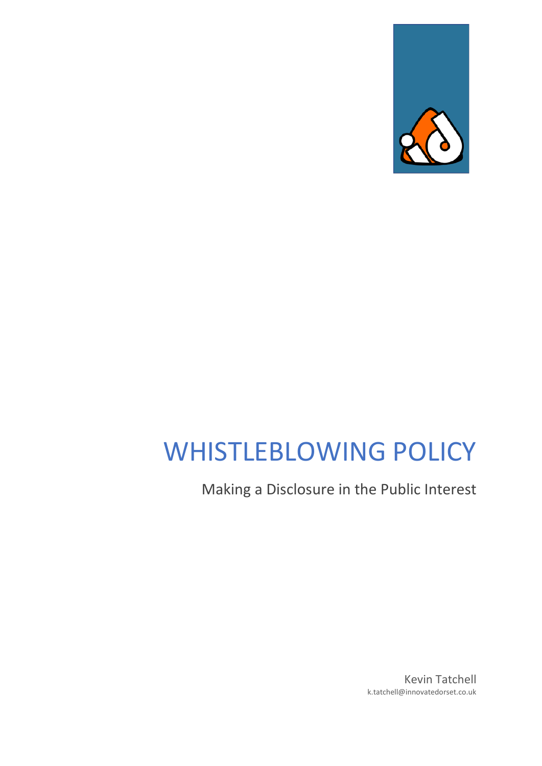

# WHISTLEBLOWING POLICY

Making a Disclosure in the Public Interest

Kevin Tatchell k.tatchell@innovatedorset.co.uk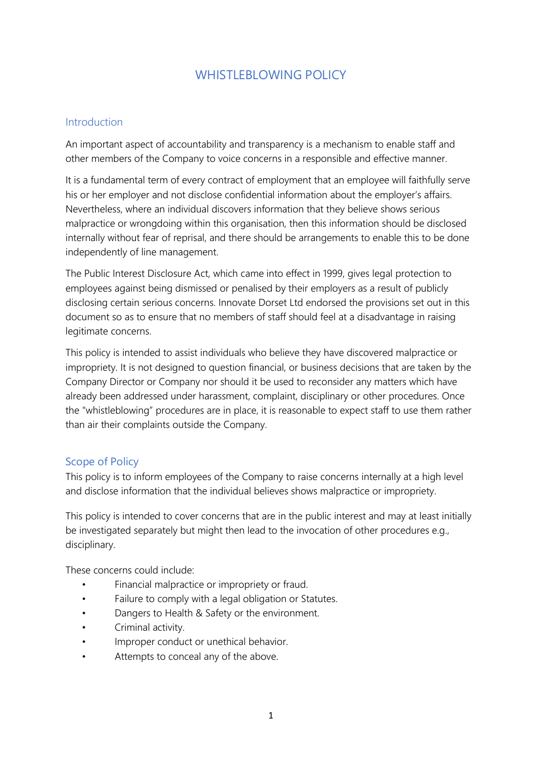# WHISTLEBLOWING POLICY

### Introduction

An important aspect of accountability and transparency is a mechanism to enable staff and other members of the Company to voice concerns in a responsible and effective manner.

It is a fundamental term of every contract of employment that an employee will faithfully serve his or her employer and not disclose confidential information about the employer's affairs. Nevertheless, where an individual discovers information that they believe shows serious malpractice or wrongdoing within this organisation, then this information should be disclosed internally without fear of reprisal, and there should be arrangements to enable this to be done independently of line management.

The Public Interest Disclosure Act, which came into effect in 1999, gives legal protection to employees against being dismissed or penalised by their employers as a result of publicly disclosing certain serious concerns. Innovate Dorset Ltd endorsed the provisions set out in this document so as to ensure that no members of staff should feel at a disadvantage in raising legitimate concerns.

This policy is intended to assist individuals who believe they have discovered malpractice or impropriety. It is not designed to question financial, or business decisions that are taken by the Company Director or Company nor should it be used to reconsider any matters which have already been addressed under harassment, complaint, disciplinary or other procedures. Once the "whistleblowing" procedures are in place, it is reasonable to expect staff to use them rather than air their complaints outside the Company.

### Scope of Policy

This policy is to inform employees of the Company to raise concerns internally at a high level and disclose information that the individual believes shows malpractice or impropriety.

This policy is intended to cover concerns that are in the public interest and may at least initially be investigated separately but might then lead to the invocation of other procedures e.g., disciplinary.

These concerns could include:

- Financial malpractice or impropriety or fraud.
- Failure to comply with a legal obligation or Statutes.
- Dangers to Health & Safety or the environment.
- Criminal activity.
- Improper conduct or unethical behavior.
- Attempts to conceal any of the above.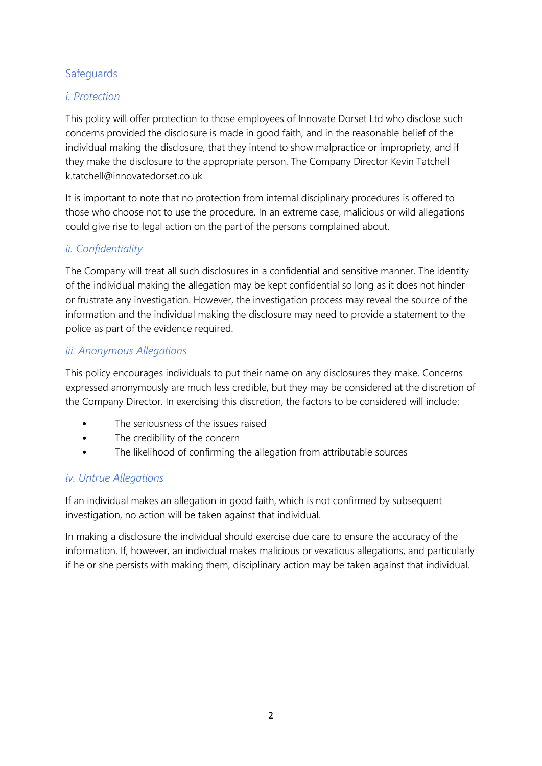# **Safeguards**

# *i. Protection*

This policy will offer protection to those employees of Innovate Dorset Ltd who disclose such concerns provided the disclosure is made in good faith, and in the reasonable belief of the individual making the disclosure, that they intend to show malpractice or impropriety, and if they make the disclosure to the appropriate person. The Company Director Kevin Tatchell k.tatchell@innovatedorset.co.uk

It is important to note that no protection from internal disciplinary procedures is offered to those who choose not to use the procedure. In an extreme case, malicious or wild allegations could give rise to legal action on the part of the persons complained about.

## *ii. Confidentiality*

The Company will treat all such disclosures in a confidential and sensitive manner. The identity of the individual making the allegation may be kept confidential so long as it does not hinder or frustrate any investigation. However, the investigation process may reveal the source of the information and the individual making the disclosure may need to provide a statement to the police as part of the evidence required.

### *iii. Anonymous Allegations*

This policy encourages individuals to put their name on any disclosures they make. Concerns expressed anonymously are much less credible, but they may be considered at the discretion of the Company Director. In exercising this discretion, the factors to be considered will include:

- The seriousness of the issues raised
- The credibility of the concern
- The likelihood of confirming the allegation from attributable sources

### *iv. Untrue Allegations*

If an individual makes an allegation in good faith, which is not confirmed by subsequent investigation, no action will be taken against that individual.

In making a disclosure the individual should exercise due care to ensure the accuracy of the information. If, however, an individual makes malicious or vexatious allegations, and particularly if he or she persists with making them, disciplinary action may be taken against that individual.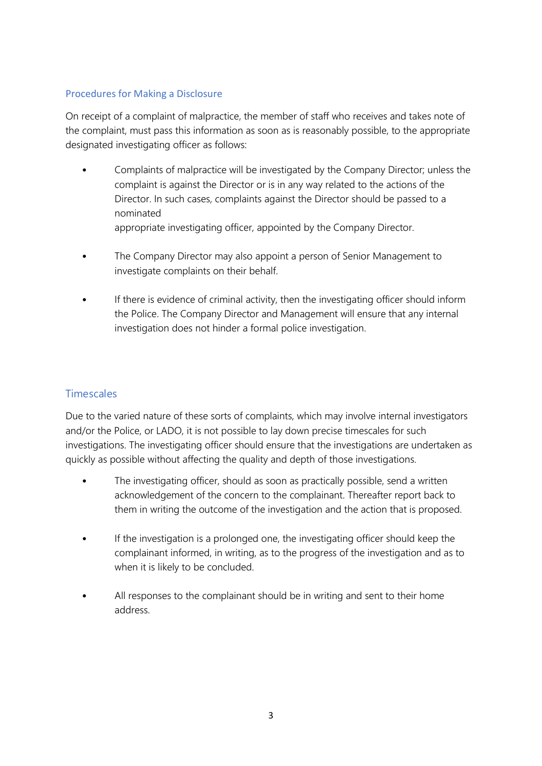#### Procedures for Making a Disclosure

On receipt of a complaint of malpractice, the member of staff who receives and takes note of the complaint, must pass this information as soon as is reasonably possible, to the appropriate designated investigating officer as follows:

- Complaints of malpractice will be investigated by the Company Director; unless the complaint is against the Director or is in any way related to the actions of the Director. In such cases, complaints against the Director should be passed to a nominated appropriate investigating officer, appointed by the Company Director.
- The Company Director may also appoint a person of Senior Management to investigate complaints on their behalf.
- If there is evidence of criminal activity, then the investigating officer should inform the Police. The Company Director and Management will ensure that any internal investigation does not hinder a formal police investigation.

# **Timescales**

Due to the varied nature of these sorts of complaints, which may involve internal investigators and/or the Police, or LADO, it is not possible to lay down precise timescales for such investigations. The investigating officer should ensure that the investigations are undertaken as quickly as possible without affecting the quality and depth of those investigations.

- The investigating officer, should as soon as practically possible, send a written acknowledgement of the concern to the complainant. Thereafter report back to them in writing the outcome of the investigation and the action that is proposed.
- If the investigation is a prolonged one, the investigating officer should keep the complainant informed, in writing, as to the progress of the investigation and as to when it is likely to be concluded.
- All responses to the complainant should be in writing and sent to their home address.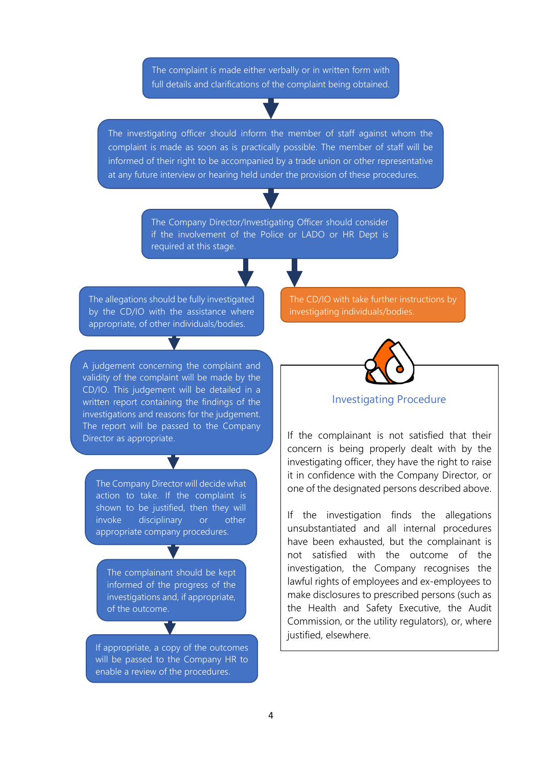The complaint is made either verbally or in written form with full details and clarifications of the complaint being obtained.

The investigating officer should inform the member of staff against whom the complaint is made as soon as is practically possible. The member of staff will be informed of their right to be accompanied by a trade union or other representative at any future interview or hearing held under the provision of these procedures.

> The Company Director/Investigating Officer should consider if the involvement of the Police or LADO or HR Dept is required at this stage.

The allegations should be fully investigated by the CD/IO with the assistance where appropriate, of other individuals/bodies.

A judgement concerning the complaint and validity of the complaint will be made by the CD/IO. This judgement will be detailed in a written report containing the findings of the investigations and reasons for the judgement. The report will be passed to the Company Director as appropriate.

The Company Director will decide what action to take. If the complaint is shown to be justified, then they will invoke disciplinary or other appropriate company procedures.

The complainant should be kept informed of the progress of the investigations and, if appropriate, of the outcome.

If appropriate, a copy of the outcomes will be passed to the Company HR to enable a review of the procedures.

The CD/IO with take further instructions by investigating individuals/bodies.



Investigating Procedure

If the complainant is not satisfied that their concern is being properly dealt with by the investigating officer, they have the right to raise it in confidence with the Company Director, or one of the designated persons described above.

If the investigation finds the allegations unsubstantiated and all internal procedures have been exhausted, but the complainant is not satisfied with the outcome of the investigation, the Company recognises the lawful rights of employees and ex-employees to make disclosures to prescribed persons (such as the Health and Safety Executive, the Audit Commission, or the utility regulators), or, where justified, elsewhere.